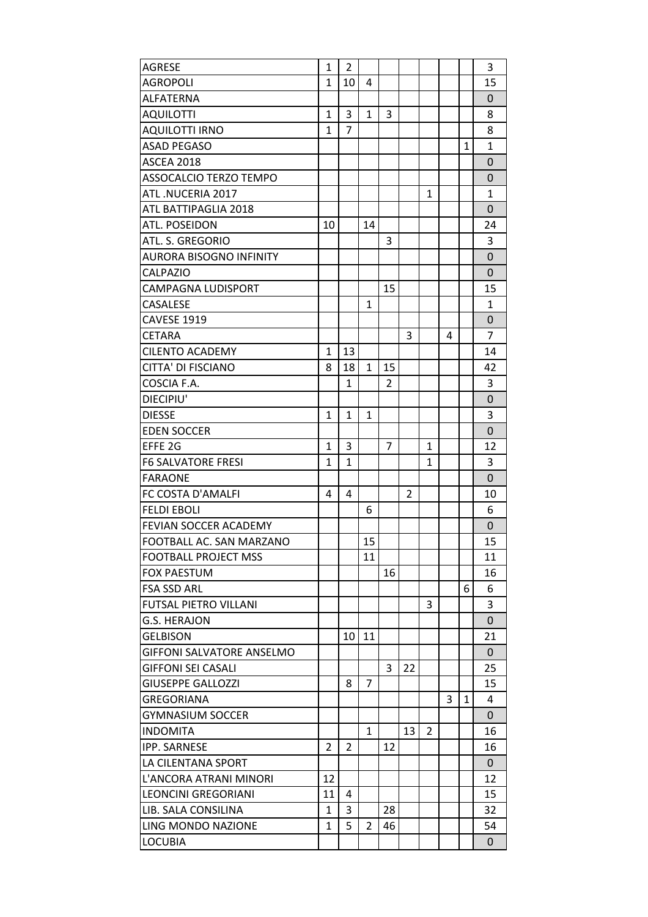| <b>AGRESE</b>                    | $\mathbf{1}$   | $\overline{2}$ |                |                |    |                |   |              | 3              |
|----------------------------------|----------------|----------------|----------------|----------------|----|----------------|---|--------------|----------------|
| <b>AGROPOLI</b>                  | $\mathbf{1}$   | 10             | 4              |                |    |                |   |              | 15             |
| ALFATERNA                        |                |                |                |                |    |                |   |              | 0              |
| <b>AQUILOTTI</b>                 | $\mathbf{1}$   | 3              | $\mathbf{1}$   | 3              |    |                |   |              | 8              |
| <b>AQUILOTTI IRNO</b>            | $\mathbf{1}$   | $\overline{7}$ |                |                |    |                |   |              | 8              |
| <b>ASAD PEGASO</b>               |                |                |                |                |    |                |   | $\mathbf{1}$ | $\mathbf{1}$   |
| <b>ASCEA 2018</b>                |                |                |                |                |    |                |   |              | $\overline{0}$ |
| ASSOCALCIO TERZO TEMPO           |                |                |                |                |    |                |   |              | 0              |
| ATL.NUCERIA 2017                 |                |                |                |                |    | 1              |   |              | 1              |
| ATL BATTIPAGLIA 2018             |                |                |                |                |    |                |   |              | $\Omega$       |
| ATL. POSEIDON                    | 10             |                | 14             |                |    |                |   |              | 24             |
| ATL. S. GREGORIO                 |                |                |                | 3              |    |                |   |              | 3              |
| <b>AURORA BISOGNO INFINITY</b>   |                |                |                |                |    |                |   |              | 0              |
| <b>CALPAZIO</b>                  |                |                |                |                |    |                |   |              | $\overline{0}$ |
| CAMPAGNA LUDISPORT               |                |                |                | 15             |    |                |   |              | 15             |
| CASALESE                         |                |                | $\mathbf{1}$   |                |    |                |   |              | $\mathbf{1}$   |
| <b>CAVESE 1919</b>               |                |                |                |                |    |                |   |              | $\overline{0}$ |
| <b>CETARA</b>                    |                |                |                |                | 3  |                | 4 |              | 7              |
| <b>CILENTO ACADEMY</b>           | $\mathbf{1}$   | 13             |                |                |    |                |   |              | 14             |
| <b>CITTA' DI FISCIANO</b>        | 8              | 18             | $\mathbf{1}$   | 15             |    |                |   |              | 42             |
| COSCIA F.A.                      |                | 1              |                | $\overline{2}$ |    |                |   |              | 3              |
| DIECIPIU'                        |                |                |                |                |    |                |   |              | 0              |
| <b>DIESSE</b>                    | $\mathbf{1}$   | $\mathbf{1}$   | $\mathbf{1}$   |                |    |                |   |              | 3              |
|                                  |                |                |                |                |    |                |   |              | $\overline{0}$ |
| <b>EDEN SOCCER</b>               |                |                |                |                |    |                |   |              |                |
| EFFE 2G                          | $\mathbf{1}$   | 3              |                | 7              |    | 1              |   |              | 12             |
| <b>F6 SALVATORE FRESI</b>        | $\mathbf{1}$   | $\mathbf{1}$   |                |                |    | $\mathbf{1}$   |   |              | 3              |
| <b>FARAONE</b>                   |                |                |                |                |    |                |   |              | $\Omega$       |
| FC COSTA D'AMALFI                | 4              | 4              |                |                | 2  |                |   |              | 10             |
| <b>FELDI EBOLI</b>               |                |                | 6              |                |    |                |   |              | 6              |
| FEVIAN SOCCER ACADEMY            |                |                |                |                |    |                |   |              | 0              |
| FOOTBALL AC. SAN MARZANO         |                |                | 15             |                |    |                |   |              | 15             |
| <b>FOOTBALL PROJECT MSS</b>      |                |                | 11             |                |    |                |   |              | 11             |
| <b>FOX PAESTUM</b>               |                |                |                | 16             |    |                |   |              | 16             |
| <b>FSA SSD ARL</b>               |                |                |                |                |    |                |   | 6            | 6              |
| <b>FUTSAL PIETRO VILLANI</b>     |                |                |                |                |    | 3              |   |              | 3              |
| G.S. HERAJON                     |                |                |                |                |    |                |   |              | $\overline{0}$ |
| <b>GELBISON</b>                  |                | 10             | 11             |                |    |                |   |              | 21             |
| <b>GIFFONI SALVATORE ANSELMO</b> |                |                |                |                |    |                |   |              | 0              |
| <b>GIFFONI SEI CASALI</b>        |                |                |                | 3              | 22 |                |   |              | 25             |
| <b>GIUSEPPE GALLOZZI</b>         |                | 8              | $\overline{7}$ |                |    |                |   |              | 15             |
| GREGORIANA                       |                |                |                |                |    |                | 3 | $\mathbf{1}$ | 4              |
| <b>GYMNASIUM SOCCER</b>          |                |                |                |                |    |                |   |              | $\Omega$       |
| <b>INDOMITA</b>                  |                |                | $\mathbf{1}$   |                | 13 | $\overline{2}$ |   |              | 16             |
| <b>IPP. SARNESE</b>              | $\overline{2}$ | 2              |                | 12             |    |                |   |              | 16             |
| LA CILENTANA SPORT               |                |                |                |                |    |                |   |              | $\Omega$       |
| L'ANCORA ATRANI MINORI           | 12             |                |                |                |    |                |   |              | 12             |
| <b>LEONCINI GREGORIANI</b>       | 11             | 4              |                |                |    |                |   |              | 15             |
| LIB. SALA CONSILINA              | $\mathbf{1}$   | 3              |                | 28             |    |                |   |              | 32             |
| LING MONDO NAZIONE               | 1              | 5              | 2              | 46             |    |                |   |              | 54             |
| <b>LOCUBIA</b>                   |                |                |                |                |    |                |   |              | $\mathbf{0}$   |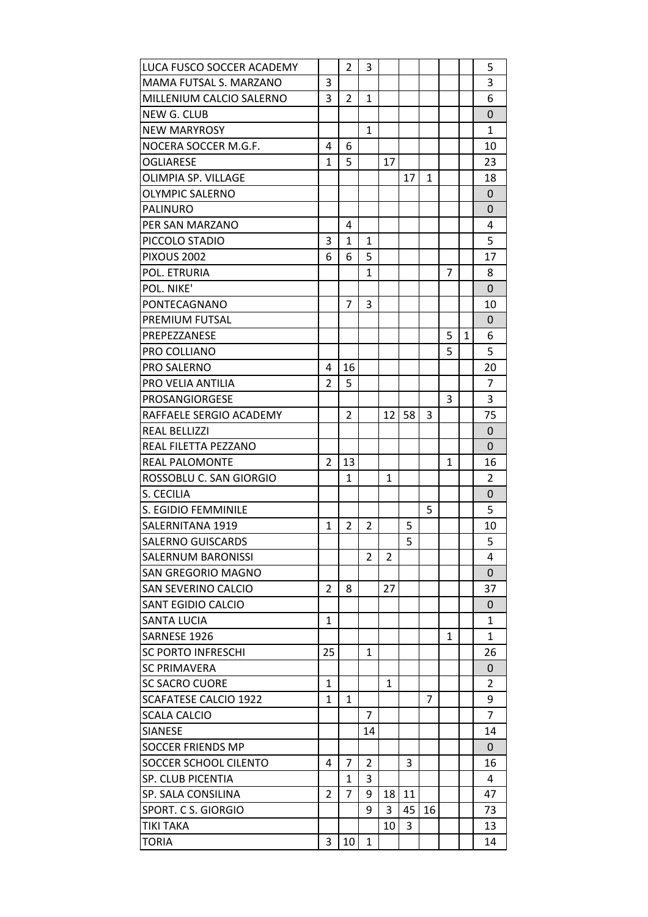| LUCA FUSCO SOCCER ACADEMY |                | 2            | 3              |              |    |              |              |   | 5              |
|---------------------------|----------------|--------------|----------------|--------------|----|--------------|--------------|---|----------------|
| MAMA FUTSAL S. MARZANO    | 3              |              |                |              |    |              |              |   | 3              |
| MILLENIUM CALCIO SALERNO  | 3              | 2            | $\mathbf{1}$   |              |    |              |              |   | 6              |
| NEW G. CLUB               |                |              |                |              |    |              |              |   | 0              |
| <b>NEW MARYROSY</b>       |                |              | $\mathbf{1}$   |              |    |              |              |   | $\mathbf{1}$   |
| NOCERA SOCCER M.G.F.      | 4              | 6            |                |              |    |              |              |   | 10             |
| <b>OGLIARESE</b>          | 1              | 5            |                | 17           |    |              |              |   | 23             |
| OLIMPIA SP. VILLAGE       |                |              |                |              | 17 | $\mathbf{1}$ |              |   | 18             |
| <b>OLYMPIC SALERNO</b>    |                |              |                |              |    |              |              |   | $\mathbf 0$    |
| <b>PALINURO</b>           |                |              |                |              |    |              |              |   | 0              |
| PER SAN MARZANO           |                | 4            |                |              |    |              |              |   | 4              |
| PICCOLO STADIO            | 3              | $\mathbf{1}$ | $\mathbf{1}$   |              |    |              |              |   | 5              |
| <b>PIXOUS 2002</b>        | 6              | 6            | 5              |              |    |              |              |   | 17             |
| POL. ETRURIA              |                |              | $\mathbf{1}$   |              |    |              | 7            |   | 8              |
| POL. NIKE'                |                |              |                |              |    |              |              |   | 0              |
| PONTECAGNANO              |                | 7            | 3              |              |    |              |              |   | 10             |
| PREMIUM FUTSAL            |                |              |                |              |    |              |              |   | 0              |
| PREPEZZANESE              |                |              |                |              |    |              | 5            | 1 | 6              |
| <b>PRO COLLIANO</b>       |                |              |                |              |    |              | 5            |   | 5              |
| <b>PRO SALERNO</b>        | 4              | 16           |                |              |    |              |              |   | 20             |
| PRO VELIA ANTILIA         | $\overline{2}$ | 5            |                |              |    |              |              |   | $\overline{7}$ |
| <b>PROSANGIORGESE</b>     |                |              |                |              |    |              | 3            |   | 3              |
| RAFFAELE SERGIO ACADEMY   |                | 2            |                | 12           | 58 | 3            |              |   | 75             |
| <b>REAL BELLIZZI</b>      |                |              |                |              |    |              |              |   | $\Omega$       |
| REAL FILETTA PEZZANO      |                |              |                |              |    |              |              |   | 0              |
| <b>REAL PALOMONTE</b>     | $\overline{2}$ | 13           |                |              |    |              | $\mathbf{1}$ |   | 16             |
| ROSSOBLU C. SAN GIORGIO   |                | $\mathbf{1}$ |                | $\mathbf{1}$ |    |              |              |   | 2              |
| S. CECILIA                |                |              |                |              |    |              |              |   | 0              |
| S. EGIDIO FEMMINILE       |                |              |                |              |    | 5            |              |   | 5              |
| SALERNITANA 1919          | 1              | 2            | 2              |              | 5  |              |              |   | 10             |
| <b>SALERNO GUISCARDS</b>  |                |              |                |              | 5  |              |              |   | 5              |
| <b>SALERNUM BARONISSI</b> |                |              | 2              | 2            |    |              |              |   | 4              |
| <b>SAN GREGORIO MAGNO</b> |                |              |                |              |    |              |              |   | $\Omega$       |
| SAN SEVERINO CALCIO       | 2              | 8            |                | 27           |    |              |              |   | 37             |
| SANT EGIDIO CALCIO        |                |              |                |              |    |              |              |   | $\mathbf{0}$   |
| <b>SANTA LUCIA</b>        | 1              |              |                |              |    |              |              |   | $\mathbf{1}$   |
| SARNESE 1926              |                |              |                |              |    |              | 1            |   | $\mathbf{1}$   |
| <b>SC PORTO INFRESCHI</b> | 25             |              | 1              |              |    |              |              |   | 26             |
| <b>SC PRIMAVERA</b>       |                |              |                |              |    |              |              |   | 0              |
| <b>SC SACRO CUORE</b>     | $\mathbf{1}$   |              |                | $\mathbf{1}$ |    |              |              |   | 2              |
| SCAFATESE CALCIO 1922     | 1              | 1            |                |              |    | 7            |              |   | 9              |
| SCALA CALCIO              |                |              | $\overline{7}$ |              |    |              |              |   | $\overline{7}$ |
| <b>SIANESE</b>            |                |              | 14             |              |    |              |              |   | 14             |
| <b>SOCCER FRIENDS MP</b>  |                |              |                |              |    |              |              |   | $\mathbf{0}$   |
| SOCCER SCHOOL CILENTO     | 4              | 7            | 2              |              | 3  |              |              |   | 16             |
| <b>SP. CLUB PICENTIA</b>  |                | 1            | 3              |              |    |              |              |   | 4              |
| SP. SALA CONSILINA        | $\overline{2}$ | 7            | 9              | 18           | 11 |              |              |   | 47             |
| SPORT. C S. GIORGIO       |                |              | 9              | 3            | 45 | 16           |              |   | 73             |
| <b>TIKI TAKA</b>          |                |              |                | 10           | 3  |              |              |   | 13             |
| <b>TORIA</b>              | 3              | 10           | $\mathbf{1}$   |              |    |              |              |   | 14             |